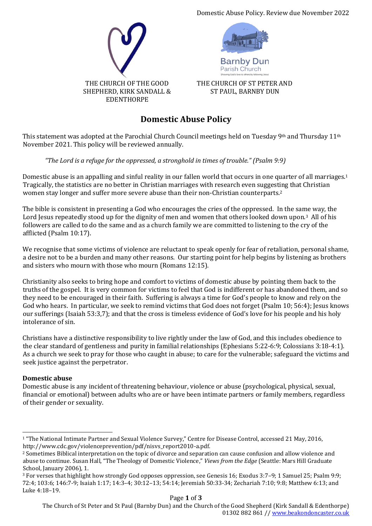Domestic Abuse Policy. Review due November 2022





**Barnby Dur** Parish Church

THE CHURCH OF ST PETER AND ST PAUL, BARNBY DUN

# **Domestic Abuse Policy**

This statement was adopted at the Parochial Church Council meetings held on Tuesday 9<sup>th</sup> and Thursday 11<sup>th</sup> November 2021. This policy will be reviewed annually.

# *"The Lord is a refuge for the oppressed, a stronghold in times of trouble." (Psalm 9:9)*

Domestic abuse is an appalling and sinful reality in our fallen world that occurs in one quarter of all marriages.<sup>1</sup> Tragically, the statistics are no better in Christian marriages with research even suggesting that Christian women stay longer and suffer more severe abuse than their non-Christian counterparts.<sup>2</sup>

The bible is consistent in presenting a God who encourages the cries of the oppressed. In the same way, the Lord Jesus repeatedly stood up for the dignity of men and women that others looked down upon.<sup>3</sup> All of his followers are called to do the same and as a church family we are committed to listening to the cry of the afflicted (Psalm 10:17).

We recognise that some victims of violence are reluctant to speak openly for fear of retaliation, personal shame, a desire not to be a burden and many other reasons. Our starting point for help begins by listening as brothers and sisters who mourn with those who mourn (Romans 12:15).

Christianity also seeks to bring hope and comfort to victims of domestic abuse by pointing them back to the truths of the gospel. It is very common for victims to feel that God is indifferent or has abandoned them, and so they need to be encouraged in their faith. Suffering is always a time for God's people to know and rely on the God who hears. In particular, we seek to remind victims that God does not forget (Psalm 10; 56:4); Jesus knows our sufferings (Isaiah 53:3,7); and that the cross is timeless evidence of God's love for his people and his holy intolerance of sin.

Christians have a distinctive responsibility to live rightly under the law of God, and this includes obedience to the clear standard of gentleness and purity in familial relationships (Ephesians 5:22-6:9; Colossians 3:18-4:1). As a church we seek to pray for those who caught in abuse; to care for the vulnerable; safeguard the victims and seek justice against the perpetrator.

# **Domestic abuse**

Domestic abuse is any incident of threatening behaviour, violence or abuse (psychological, physical, sexual, financial or emotional) between adults who are or have been intimate partners or family members, regardless of their gender or sexuality.

<sup>1</sup> "The National Intimate Partner and Sexual Violence Survey," Centre for Disease Control, accessed 21 May, 2016, http://www.cdc.gov/violenceprevention/pdf/nisvs\_report2010-a.pdf.

<sup>2</sup> Sometimes Biblical interpretation on the topic of divorce and separation can cause confusion and allow violence and abuse to continue. Susan Hall, "The Theology of Domestic Violence," *Views from the Edge* (Seattle: Mars Hill Graduate School, January 2006), 1.

<sup>3</sup> For verses that highlight how strongly God opposes oppression, see Genesis 16; Exodus 3:7–9; 1 Samuel 25; Psalm 9:9; 72:4; 103:6; 146:7-9; Isaiah 1:17; 14:3–4; 30:12–13; 54:14; Jeremiah 50:33-34; Zechariah 7:10; 9:8; Matthew 6:13; and Luke 4:18–19.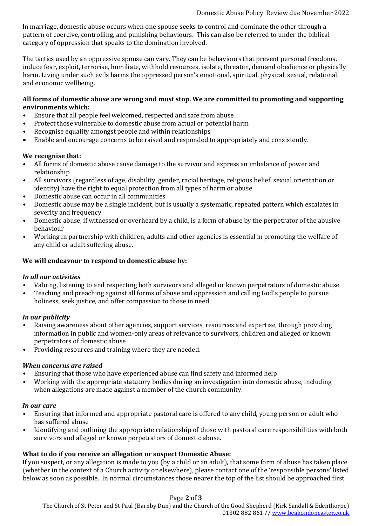In marriage, domestic abuse occurs when one spouse seeks to control and dominate the other through a pattern of coercive, controlling, and punishing behaviours. This can also be referred to under the biblical category of oppression that speaks to the domination involved.

The tactics used by an oppressive spouse can vary. They can be behaviours that prevent personal freedoms, induce fear, exploit, terrorise, humiliate, withhold resources, isolate, threaten, demand obedience or physically harm. Living under such evils harms the oppressed person's emotional, spiritual, physical, sexual, relational, and economic wellbeing.

#### **All forms of domestic abuse are wrong and must stop. We are committed to promoting and supporting environments which:**

- Ensure that all people feel welcomed, respected and safe from abuse
- Protect those vulnerable to domestic abuse from actual or potential harm
- Recognise equality amongst people and within relationships
- Enable and encourage concerns to be raised and responded to appropriately and consistently.

#### **We recognise that:**

- All forms of domestic abuse cause damage to the survivor and express an imbalance of power and relationship
- All survivors (regardless of age, disability, gender, racial heritage, religious belief, sexual orientation or identity) have the right to equal protection from all types of harm or abuse
- Domestic abuse can occur in all communities
- Domestic abuse may be a single incident, but is usually a systematic, repeated pattern which escalates in severity and frequency
- Domestic abuse, if witnessed or overheard by a child, is a form of abuse by the perpetrator of the abusive behaviour
- Working in partnership with children, adults and other agencies is essential in promoting the welfare of any child or adult suffering abuse.

#### **We will endeavour to respond to domestic abuse by:**

#### *In all our activities*

- Valuing, listening to and respecting both survivors and alleged or known perpetrators of domestic abuse
- Teaching and preaching against all forms of abuse and oppression and calling God's people to pursue holiness, seek justice, and offer compassion to those in need.

#### *In our publicity*

- Raising awareness about other agencies, support services, resources and expertise, through providing information in public and women-only areas of relevance to survivors, children and alleged or known perpetrators of domestic abuse
- Providing resources and training where they are needed.

#### *When concerns are raised*

- Ensuring that those who have experienced abuse can find safety and informed help
- Working with the appropriate statutory bodies during an investigation into domestic abuse, including when allegations are made against a member of the church community.

#### *In our care*

- Ensuring that informed and appropriate pastoral care is offered to any child, young person or adult who has suffered abuse
- Identifying and outlining the appropriate relationship of those with pastoral care responsibilities with both survivors and alleged or known perpetrators of domestic abuse.

# **What to do if you receive an allegation or suspect Domestic Abuse:**

If you suspect, or any allegation is made to you (by a child or an adult), that some form of abuse has taken place (whether in the context of a Church activity or elsewhere), please contact one of the 'responsible persons' listed below as soon as possible. In normal circumstances those nearer the top of the list should be approached first.

#### Page **2** of **3**

The Church of St Peter and St Paul (Barnby Dun) and the Church of the Good Shepherd (Kirk Sandall & Edenthorpe) 01302 882 861 /[/ www.beakondoncaster.co.uk](http://www.beakondoncaster.co.uk/)